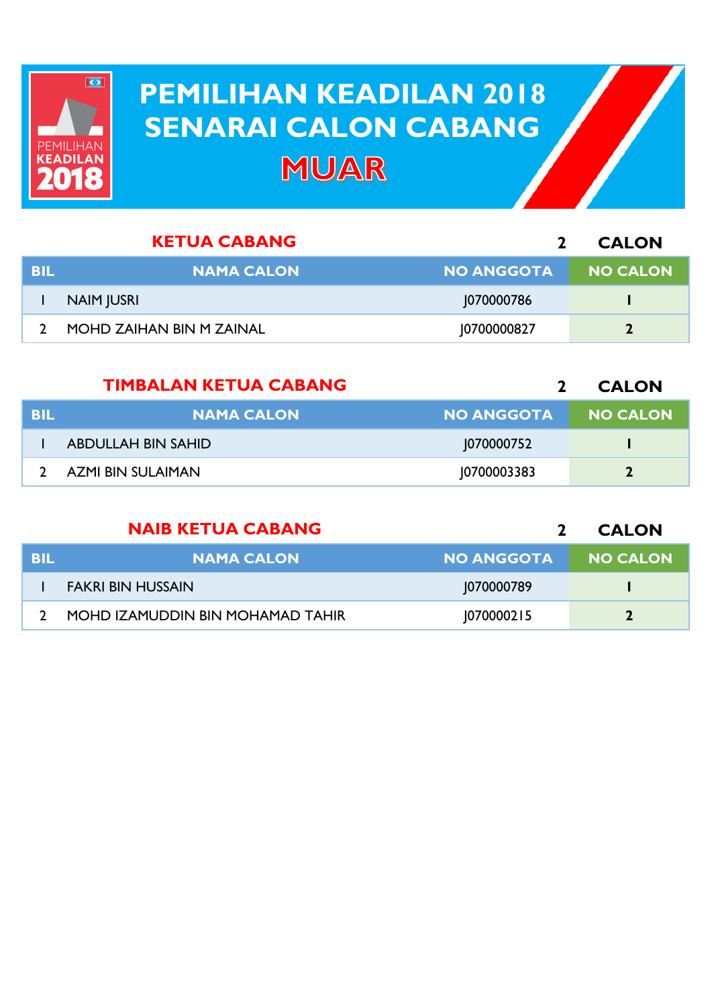

## **PEMILIHAN KEADILAN 2018 PEMILIHAN KEADILAN 2018 SENARAI CALON CABANG SENARAI CALON CABANGMUAR**

|     | <b>KETUA CABANG</b>      |                   | <b>CALON</b>    |
|-----|--------------------------|-------------------|-----------------|
| BIL | <b>NAMA CALON</b>        | <b>NO ANGGOTA</b> | <b>NO CALON</b> |
|     | <b>NAIM JUSRI</b>        | 1070000786        |                 |
|     | MOHD ZAIHAN BIN M ZAINAL | 10700000827       |                 |

|            | <b>TIMBALAN KETUA CABANG</b> |                   | <b>CALON</b>    |
|------------|------------------------------|-------------------|-----------------|
| <b>BIL</b> | <b>NAMA CALON</b>            | <b>NO ANGGOTA</b> | <b>NO CALON</b> |
|            | <b>ABDULLAH BIN SAHID</b>    | 1070000752        |                 |
|            | AZMI BIN SULAIMAN            | 10700003383       |                 |

|            | <b>NAIB KETUA CABANG</b>         |                   | <b>CALON</b>    |
|------------|----------------------------------|-------------------|-----------------|
| <b>BIL</b> | <b>NAMA CALON</b>                | <b>NO ANGGOTA</b> | <b>NO CALON</b> |
|            | <b>FAKRI BIN HUSSAIN</b>         | 1070000789        |                 |
|            | MOHD IZAMUDDIN BIN MOHAMAD TAHIR | 070000215         |                 |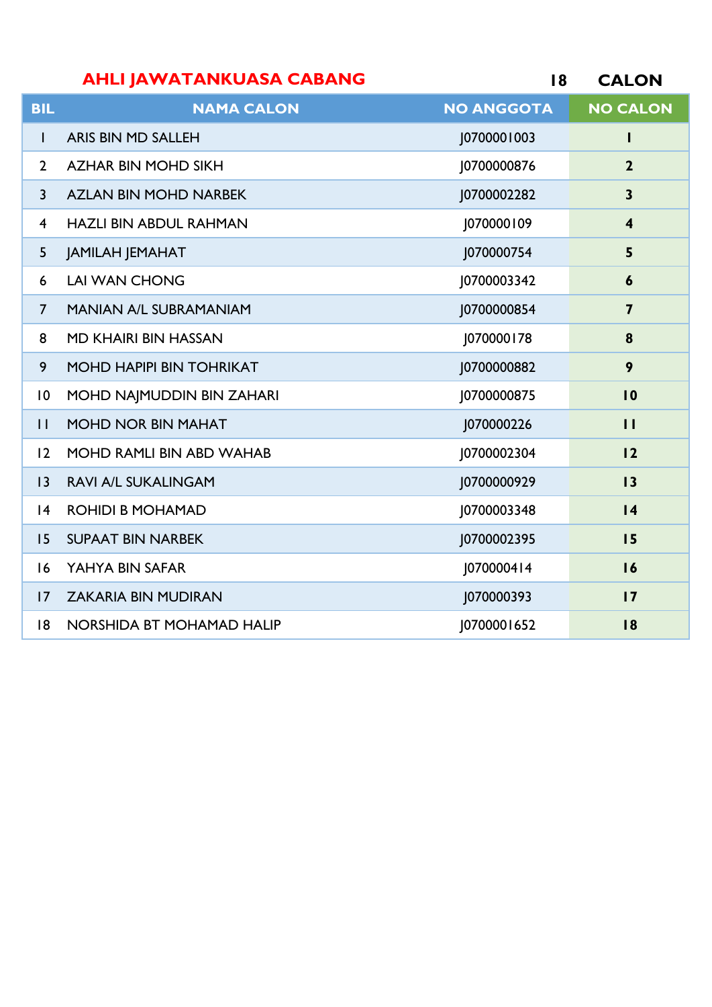| <b>AHLI JAWATANKUASA CABANG</b> | 18 CALON |
|---------------------------------|----------|
|                                 |          |

| <b>BIL</b>      | <b>NAMA CALON</b>               | <b>NO ANGGOTA</b>  | <b>NO CALON</b>         |
|-----------------|---------------------------------|--------------------|-------------------------|
| I.              | <b>ARIS BIN MD SALLEH</b>       | J0700001003        | L                       |
| $\overline{2}$  | <b>AZHAR BIN MOHD SIKH</b>      | J0700000876        | $\mathbf{2}$            |
| $\overline{3}$  | <b>AZLAN BIN MOHD NARBEK</b>    | J0700002282        | $\overline{\mathbf{3}}$ |
| 4               | <b>HAZLI BIN ABDUL RAHMAN</b>   | J070000109         | $\overline{\mathbf{4}}$ |
| 5               | <b>JAMILAH JEMAHAT</b>          | 1070000754         | 5                       |
| 6               | <b>LAI WAN CHONG</b>            | 10700003342        | $\boldsymbol{6}$        |
| $\overline{7}$  | <b>MANIAN A/L SUBRAMANIAM</b>   | <b>J0700000854</b> | $\overline{\mathbf{z}}$ |
| 8               | <b>MD KHAIRI BIN HASSAN</b>     | J070000178         | 8                       |
| 9               | <b>MOHD HAPIPI BIN TOHRIKAT</b> | J0700000882        | 9                       |
| $\overline{10}$ | MOHD NAJMUDDIN BIN ZAHARI       | J0700000875        | 10                      |
| $\mathbf{H}$    | <b>MOHD NOR BIN MAHAT</b>       | J070000226         | $\mathbf{1}$            |
| 12              | <b>MOHD RAMLI BIN ABD WAHAB</b> | J0700002304        | 12                      |
| 3               | <b>RAVI A/L SUKALINGAM</b>      | J0700000929        | 13                      |
| 4               | <b>ROHIDI B MOHAMAD</b>         | J0700003348        | $\overline{14}$         |
| 15              | <b>SUPAAT BIN NARBEK</b>        | J0700002395        | 15                      |
| 16              | YAHYA BIN SAFAR                 | J070000414         | 16                      |
| $\overline{17}$ | <b>ZAKARIA BIN MUDIRAN</b>      | 1070000393         | 17                      |
| 8               | NORSHIDA BT MOHAMAD HALIP       | 0700001652         | 18                      |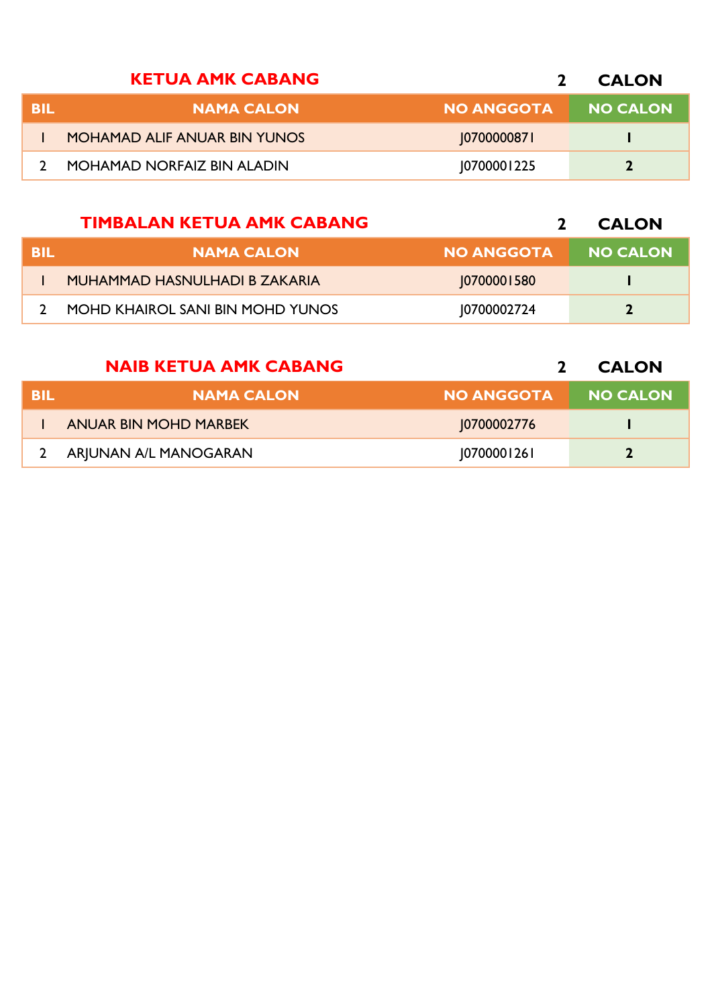|      | <b>KETUA AMK CABANG</b>             |                   | <b>CALON</b>    |
|------|-------------------------------------|-------------------|-----------------|
| BIL. | <b>NAMA CALON</b>                   | <b>NO ANGGOTA</b> | <b>NO CALON</b> |
|      | <b>MOHAMAD ALIF ANUAR BIN YUNOS</b> | 10700000871       |                 |
|      | <b>MOHAMAD NORFAIZ BIN ALADIN</b>   | 10700001225       |                 |
|      |                                     |                   |                 |

|     | <b>TIMBALAN KETUA AMK CABANG</b> |                   | <b>CALON</b>    |
|-----|----------------------------------|-------------------|-----------------|
| BIL | <b>NAMA CALON</b>                | <b>NO ANGGOTA</b> | <b>NO CALON</b> |
|     | MUHAMMAD HASNULHADI B ZAKARIA    | 10700001580       |                 |
|     | MOHD KHAIROL SANI BIN MOHD YUNOS | 10700002724       | $\mathbf{2}$    |

| <b>NAIB KETUA AMK CABANG</b> |  |  |
|------------------------------|--|--|
|------------------------------|--|--|

| BIL | <b>NAMA CALON</b>       | NO ANGGOTA  | <b>NO CALON</b> |
|-----|-------------------------|-------------|-----------------|
|     | ANUAR BIN MOHD MARBEK   | 10700002776 |                 |
|     | 2 ARJUNAN A/L MANOGARAN | 10700001261 |                 |

**2 CALON**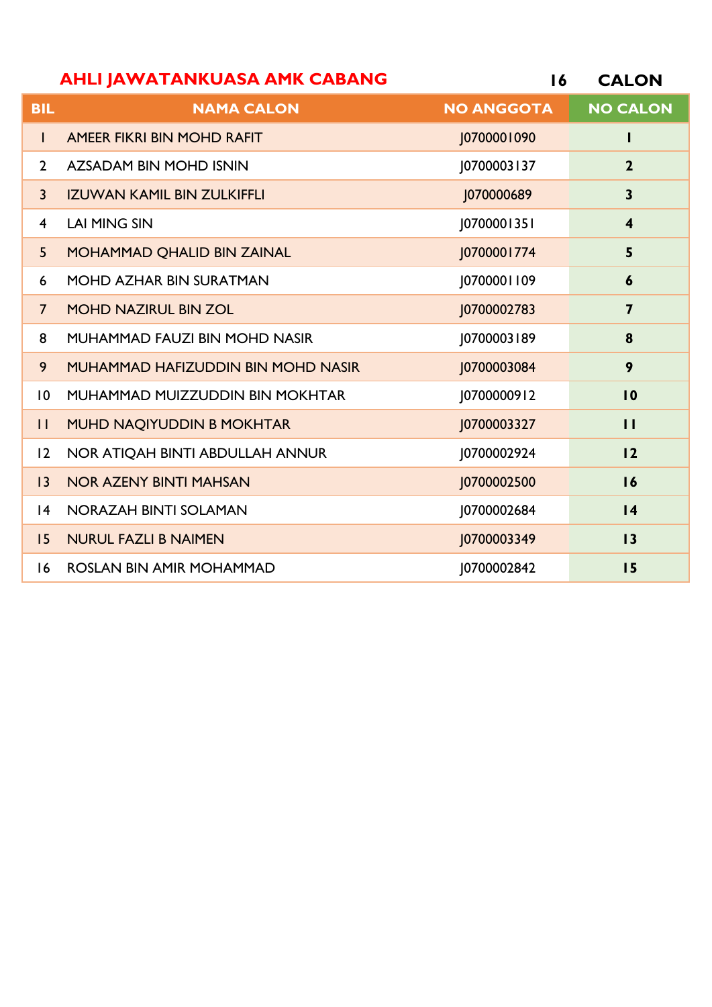|                 | <b>AHLI JAWATANKUASA AMK CABANG</b> | 16                 | <b>CALON</b>            |
|-----------------|-------------------------------------|--------------------|-------------------------|
| <b>BIL</b>      | <b>NAMA CALON</b>                   | <b>NO ANGGOTA</b>  | <b>NO CALON</b>         |
| L               | AMEER FIKRI BIN MOHD RAFIT          | J0700001090        | L                       |
| $\overline{2}$  | <b>AZSADAM BIN MOHD ISNIN</b>       | J0700003137        | $\overline{2}$          |
| $\overline{3}$  | <b>IZUWAN KAMIL BIN ZULKIFFLI</b>   | J070000689         | $\mathbf{3}$            |
| $\overline{4}$  | <b>LAI MING SIN</b>                 | J0700001351        | $\overline{\mathbf{4}}$ |
| 5 <sup>1</sup>  | MOHAMMAD QHALID BIN ZAINAL          | <b>J0700001774</b> | 5                       |
| 6               | MOHD AZHAR BIN SURATMAN             | J0700001109        | $\boldsymbol{6}$        |
| $\overline{7}$  | <b>MOHD NAZIRUL BIN ZOL</b>         | J0700002783        | $\overline{\mathbf{z}}$ |
| 8               | MUHAMMAD FAUZI BIN MOHD NASIR       | J0700003189        | 8                       |
| 9               | MUHAMMAD HAFIZUDDIN BIN MOHD NASIR  | J0700003084        | 9                       |
| $\overline{10}$ | MUHAMMAD MUIZZUDDIN BIN MOKHTAR     | J0700000912        | 10                      |
| $\mathbf{H}$    | MUHD NAQIYUDDIN B MOKHTAR           | J0700003327        | $\mathbf{1}$            |
| 12              | NOR ATIQAH BINTI ABDULLAH ANNUR     | J0700002924        | 12                      |
| 3               | <b>NOR AZENY BINTI MAHSAN</b>       | J0700002500        | 16                      |
| 4               | NORAZAH BINTI SOLAMAN               | J0700002684        | $\overline{14}$         |
| 15              | <b>NURUL FAZLI B NAIMEN</b>         | J0700003349        | 13                      |
| 16              | ROSLAN BIN AMIR MOHAMMAD            | 10700002842        | 15                      |